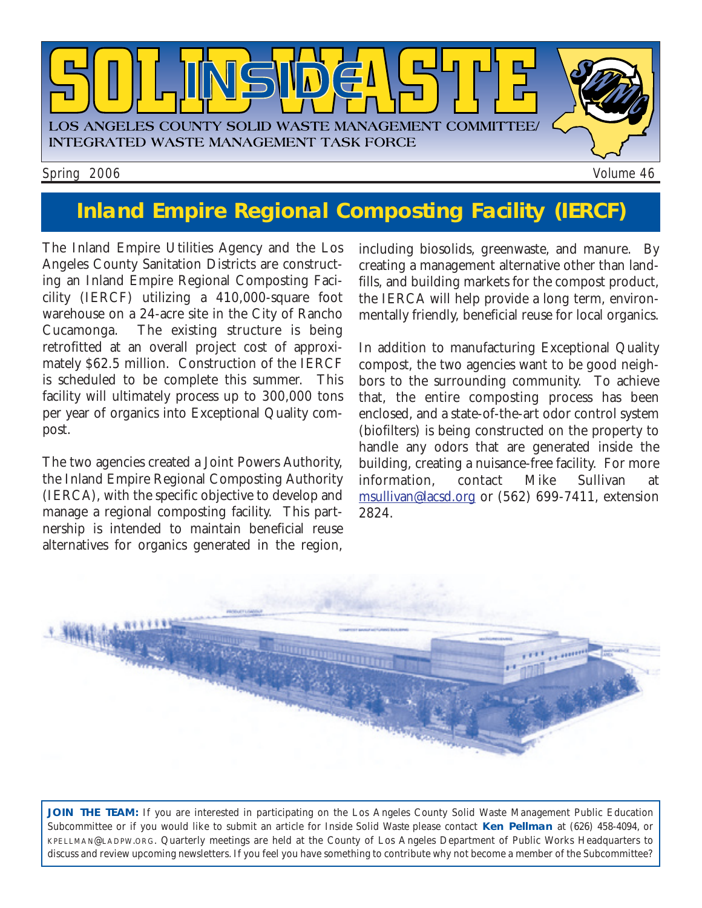

# **Inland Empire Regional Composting Facility (IERCF)**

The Inland Empire Utilities Agency and the Los Angeles County Sanitation Districts are constructing an Inland Empire Regional Composting Facicility (IERCF) utilizing a 410,000-square foot warehouse on a 24-acre site in the City of Rancho Cucamonga. The existing structure is being retrofitted at an overall project cost of approximately \$62.5 million. Construction of the IERCF is scheduled to be complete this summer. This facility will ultimately process up to 300,000 tons per year of organics into Exceptional Quality compost.

The two agencies created a Joint Powers Authority, the Inland Empire Regional Composting Authority (IERCA), with the specific objective to develop and manage a regional composting facility. This partnership is intended to maintain beneficial reuse alternatives for organics generated in the region, including biosolids, greenwaste, and manure. By creating a management alternative other than landfills, and building markets for the compost product, the IERCA will help provide a long term, environmentally friendly, beneficial reuse for local organics.

In addition to manufacturing Exceptional Quality compost, the two agencies want to be good neighbors to the surrounding community. To achieve that, the entire composting process has been enclosed, and a state-of-the-art odor control system (biofilters) is being constructed on the property to handle any odors that are generated inside the building, creating a nuisance-free facility. For more information, contact Mike Sullivan at msullivan@lacsd.org or (562) 699-7411, extension 2824.



**JOIN THE TEAM:** If you are interested in participating on the Los Angeles County Solid Waste Management Public Education Subcommittee or if you would like to submit an article for *Inside Solid Waste* please contact **Ken Pellman** at (626) 458-4094, or KPELLMAN@LADPW.ORG. Quarterly meetings are held at the County of Los Angeles Department of Public Works Headquarters to discuss and review upcoming newsletters. If you feel you have something to contribute why not become a member of the Subcommittee?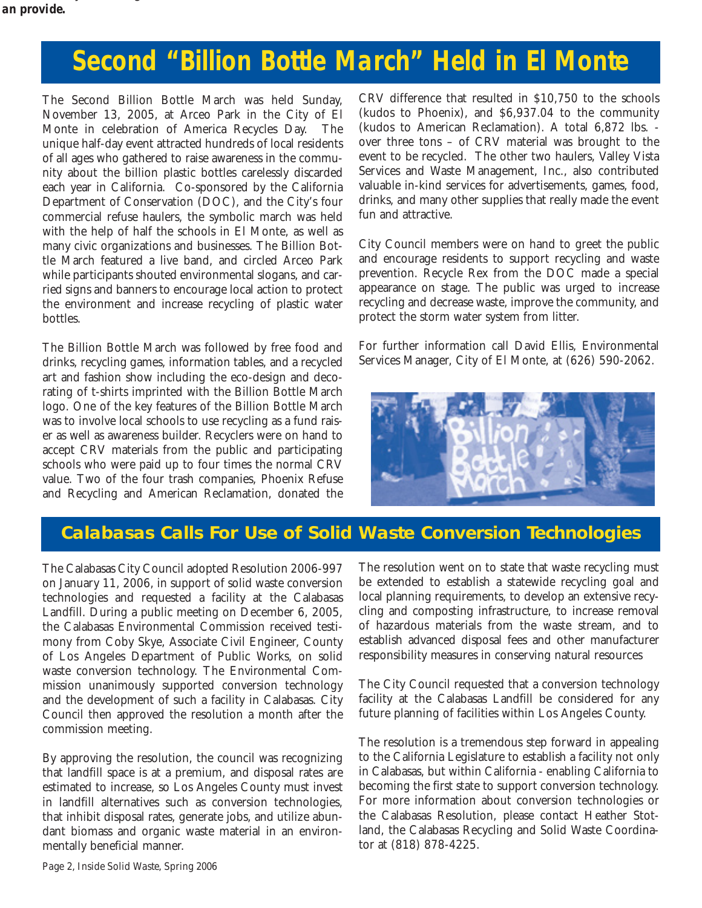# **Second "Billion Bottle March" Held in El Monte**

The Second Billion Bottle March was held Sunday, November 13, 2005, at Arceo Park in the City of El Monte in celebration of America Recycles Day. The unique half-day event attracted hundreds of local residents of all ages who gathered to raise awareness in the community about the billion plastic bottles carelessly discarded each year in California. Co-sponsored by the California Department of Conservation (DOC), and the City's four commercial refuse haulers, the symbolic march was held with the help of half the schools in El Monte, as well as many civic organizations and businesses. The Billion Bottle March featured a live band, and circled Arceo Park while participants shouted environmental slogans, and carried signs and banners to encourage local action to protect the environment and increase recycling of plastic water bottles.

The Billion Bottle March was followed by free food and drinks, recycling games, information tables, and a recycled art and fashion show including the eco-design and decorating of t-shirts imprinted with the Billion Bottle March logo. One of the key features of the Billion Bottle March was to involve local schools to use recycling as a fund raiser as well as awareness builder. Recyclers were on hand to accept CRV materials from the public and participating schools who were paid up to four times the normal CRV value. Two of the four trash companies, Phoenix Refuse and Recycling and American Reclamation, donated the CRV difference that resulted in \$10,750 to the schools (kudos to Phoenix), and \$6,937.04 to the community (kudos to American Reclamation). A total 6,872 lbs. over three tons – of CRV material was brought to the event to be recycled. The other two haulers, Valley Vista Services and Waste Management, Inc., also contributed valuable in-kind services for advertisements, games, food, drinks, and many other supplies that really made the event fun and attractive.

City Council members were on hand to greet the public and encourage residents to support recycling and waste prevention. Recycle Rex from the DOC made a special appearance on stage. The public was urged to increase recycling and decrease waste, improve the community, and protect the storm water system from litter.

For further information call David Ellis, Environmental Services Manager, City of El Monte, at (626) 590-2062.



## **Calabasas Calls For Use of Solid Waste Conversion Technologies**

The Calabasas City Council adopted Resolution 2006-997 on January 11, 2006, in support of solid waste conversion technologies and requested a facility at the Calabasas Landfill. During a public meeting on December 6, 2005, the Calabasas Environmental Commission received testimony from Coby Skye, Associate Civil Engineer, County of Los Angeles Department of Public Works, on solid waste conversion technology. The Environmental Commission unanimously supported conversion technology and the development of such a facility in Calabasas. City Council then approved the resolution a month after the commission meeting.

By approving the resolution, the council was recognizing that landfill space is at a premium, and disposal rates are estimated to increase, so Los Angeles County must invest in landfill alternatives such as conversion technologies, that inhibit disposal rates, generate jobs, and utilize abundant biomass and organic waste material in an environmentally beneficial manner.

The resolution went on to state that waste recycling must be extended to establish a statewide recycling goal and local planning requirements, to develop an extensive recycling and composting infrastructure, to increase removal of hazardous materials from the waste stream, and to establish advanced disposal fees and other manufacturer responsibility measures in conserving natural resources

The City Council requested that a conversion technology facility at the Calabasas Landfill be considered for any future planning of facilities within Los Angeles County.

The resolution is a tremendous step forward in appealing to the California Legislature to establish a facility not only in Calabasas, but within California - enabling California to becoming the first state to support conversion technology. For more information about conversion technologies or the Calabasas Resolution, please contact Heather Stotland, the Calabasas Recycling and Solid Waste Coordinator at (818) 878-4225.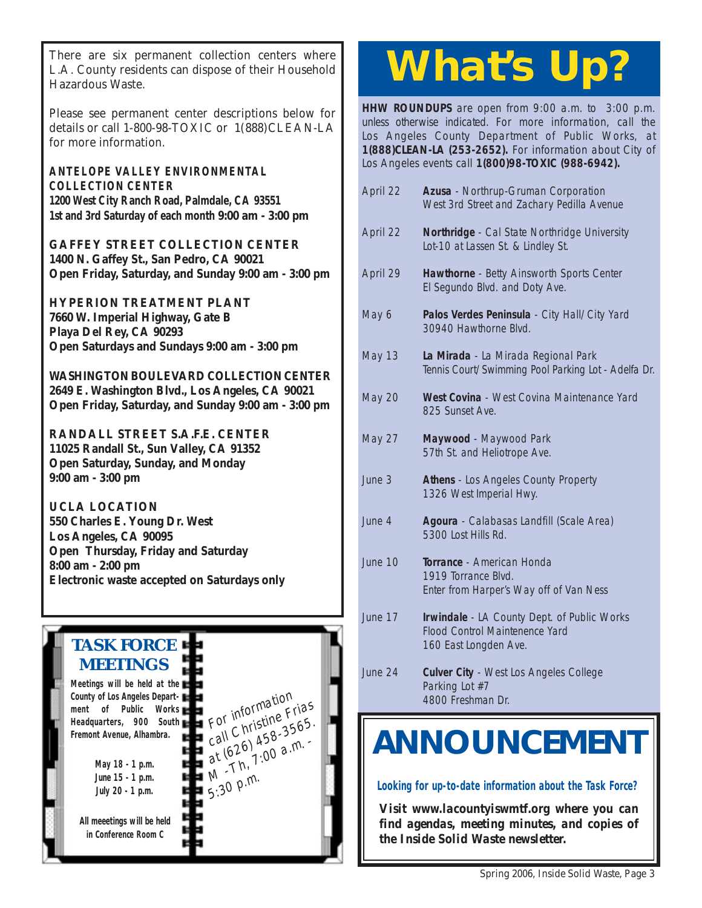There are six permanent collection centers where<br>L.A. County residents can dispose of their Household<br>Herewhere Wester L.A. County residents can dispose of their Household Hazardous Waste.

Please see permanent center descriptions below for details or call 1-800-98-TOXIC or 1(888)CLEAN-LA for more information.

**ANTELOPE VALLEY ENVIRONMENTAL COLLECTION CENTER 1200 West City Ranch Road, Palmdale, CA 93551 1st and 3rd Saturday of each month 9:00 am - 3:00 pm**

**GAFFEY STREET COLLECTION CENTER 1400 N. Gaffey St., San Pedro, CA 90021 Open Friday, Saturday, and Sunday 9:00 am - 3:00 pm**

**HYPERION TREATMENT PLANT 7660 W. Imperial Highway, Gate B Playa Del Rey, CA 90293 Open Saturdays and Sundays 9:00 am - 3:00 pm**

**WASHINGTON BOULEVARD COLLECTION CENTER 2649 E. Washington Blvd., Los Angeles, CA 90021 Open Friday, Saturday, and Sunday 9:00 am - 3:00 pm**

**RANDALL STREET S.A.F.E. CENTER 11025 Randall St., Sun Valley, CA 91352 Open Saturday, Sunday, and Monday 9:00 am - 3:00 pm**

**UCLA LOCATION 550 Charles E. Young Dr. West Los Angeles, CA 90095 Open Thursday, Friday and Saturday 8:00 am - 2:00 pm Electronic waste accepted on Saturdays only**

> For information<br>For information For information Frias<br>call Christine Frias For Christing 3565.<br>call Christing 3565.<br>at (626–7:00 a.m. at  $626$ ,  $450$  a.m.<br>at  $1.00$  a.m.

 $5:30$  p.m.

# **TASK FORCE MEETINGS**

**Meetings will be held at the County of Los Angeles Department of Public Works Headquarters, 900 South Fremont Avenue, Alhambra.**

> **May 18 - 1 p.m. June 15 - 1 p.m. July 20 - 1 p.m.**

**All meeetings will be held in Conference Room C**

**HHW ROUNDUPS** are open from 9:00 a.m. to 3:00 p.m. unless otherwise indicated. For more information, call the Los Angeles County Department of Public Works, at **1(888)CLEAN-LA (253-2652).** For information about City of Los Angeles events call **1(800)98-TOXIC (988-6942).**

| April 22        | Azusa - Northrup-Gruman Corporation<br>West 3rd Street and Zachary Pedilla Avenue                      |
|-----------------|--------------------------------------------------------------------------------------------------------|
| April 22        | Northridge - Cal State Northridge University<br>Lot-10 at Lassen St. & Lindley St.                     |
| April 29        | Hawthorne - Betty Ainsworth Sports Center<br>El Segundo Blvd. and Doty Ave.                            |
| May 6           | Palos Verdes Peninsula - City Hall/City Yard<br>30940 Hawthorne Blvd.                                  |
| <b>May 13</b>   | La Mirada - La Mirada Regional Park<br>Tennis Court/Swimming Pool Parking Lot - Adelfa Dr.             |
| <b>May 20</b>   | West Covina - West Covina Maintenance Yard<br>825 Sunset Ave.                                          |
| <b>May 27</b>   | Maywood - Maywood Park<br>57th St. and Heliotrope Ave.                                                 |
| June 3          | Athens - Los Angeles County Property<br>1326 West Imperial Hwy.                                        |
| June 4          | Agoura - Calabasas Landfill (Scale Area)<br>5300 Lost Hills Rd.                                        |
| June 10         | Torrance - American Honda<br>1919 Torrance Blvd.<br>Enter from Harper's Way off of Van Ness            |
| June 17         | Irwindale - LA County Dept. of Public Works<br>Flood Control Maintenence Yard<br>160 East Longden Ave. |
| June 24         | <b>Culver City - West Los Angeles College</b><br>Parking Lot #7<br>4800 Freshman Dr.                   |
| <b>NOUNCEME</b> |                                                                                                        |

**Looking for up-to-date information about the Task Force?**

*Visit www.lacountyiswmtf.org where you can find agendas, meeting minutes, and copies of the Inside Solid Waste newsletter.*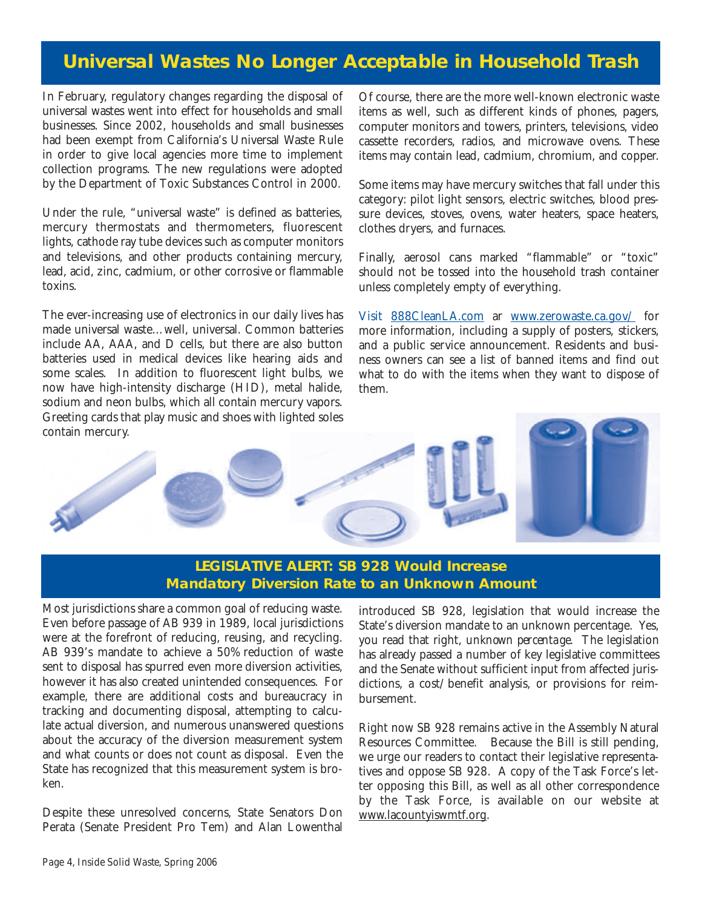## **Universal Wastes No Longer Acceptable in Household Trash**

In February, regulatory changes regarding the disposal of universal wastes went into effect for households and small businesses. Since 2002, households and small businesses had been exempt from California's Universal Waste Rule in order to give local agencies more time to implement collection programs. The new regulations were adopted by the Department of Toxic Substances Control in 2000.

Under the rule, "universal waste" is defined as batteries, mercury thermostats and thermometers, fluorescent lights, cathode ray tube devices such as computer monitors and televisions, and other products containing mercury, lead, acid, zinc, cadmium, or other corrosive or flammable toxins.

The ever-increasing use of electronics in our daily lives has made universal waste…well, universal. Common batteries include AA, AAA, and D cells, but there are also button batteries used in medical devices like hearing aids and some scales. In addition to fluorescent light bulbs, we now have high-intensity discharge (HID), metal halide, sodium and neon bulbs, which all contain mercury vapors. Greeting cards that play music and shoes with lighted soles

Of course, there are the more well-known electronic waste items as well, such as different kinds of phones, pagers, computer monitors and towers, printers, televisions, video cassette recorders, radios, and microwave ovens. These items may contain lead, cadmium, chromium, and copper.

Some items may have mercury switches that fall under this category: pilot light sensors, electric switches, blood pressure devices, stoves, ovens, water heaters, space heaters, clothes dryers, and furnaces.

Finally, aerosol cans marked "flammable" or "toxic" should not be tossed into the household trash container unless completely empty of everything.

Visit 888CleanLA.com ar www.zerowaste.ca.gov/ for more information, including a supply of posters, stickers, and a public service announcement. Residents and business owners can see a list of banned items and find out what to do with the items when they want to dispose of them.



### **LEGISLATIVE ALERT: SB 928 Would Increase Mandatory Diversion Rate to an Unknown Amount**

Most jurisdictions share a common goal of reducing waste. Even before passage of AB 939 in 1989, local jurisdictions were at the forefront of reducing, reusing, and recycling. AB 939's mandate to achieve a 50% reduction of waste sent to disposal has spurred even more diversion activities, however it has also created unintended consequences. For example, there are additional costs and bureaucracy in tracking and documenting disposal, attempting to calculate actual diversion, and numerous unanswered questions about the accuracy of the diversion measurement system and what counts or does not count as disposal. Even the State has recognized that this measurement system is broken.

Despite these unresolved concerns, State Senators Don Perata (Senate President Pro Tem) and Alan Lowenthal introduced SB 928, legislation that would increase the State's diversion mandate to an unknown percentage. Yes, you read that right, *unknown percentage*. The legislation has already passed a number of key legislative committees and the Senate without sufficient input from affected jurisdictions, a cost/benefit analysis, or provisions for reimbursement.

Right now SB 928 remains active in the Assembly Natural Resources Committee. Because the Bill is still pending, we urge our readers to contact their legislative representatives and oppose SB 928. A copy of the Task Force's letter opposing this Bill, as well as all other correspondence by the Task Force, is available on our website at www.lacountyiswmtf.org.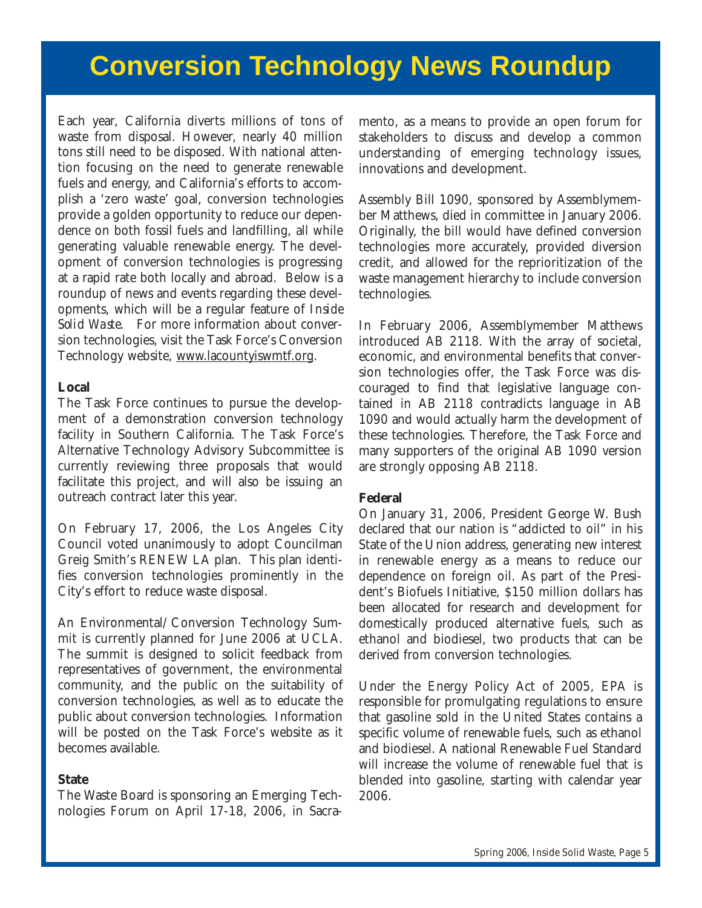# **Conversion Technology News Roundup**

Each year, California diverts millions of tons of waste from disposal. However, nearly 40 million tons still need to be disposed. With national attention focusing on the need to generate renewable fuels and energy, and California's efforts to accomplish a 'zero waste' goal, conversion technologies provide a golden opportunity to reduce our dependence on both fossil fuels and landfilling, all while generating valuable renewable energy. The development of conversion technologies is progressing at a rapid rate both locally and abroad. Below is a roundup of news and events regarding these developments, which will be a regular feature of *Inside Solid Waste*. For more information about conversion technologies, visit the Task Force's Conversion Technology website, www.lacountyiswmtf.org.

#### **Local**

The Task Force continues to pursue the development of a demonstration conversion technology facility in Southern California. The Task Force's Alternative Technology Advisory Subcommittee is currently reviewing three proposals that would facilitate this project, and will also be issuing an outreach contract later this year.

On February 17, 2006, the Los Angeles City Council voted unanimously to adopt Councilman Greig Smith's RENEW LA plan. This plan identifies conversion technologies prominently in the City's effort to reduce waste disposal.

An Environmental/Conversion Technology Summit is currently planned for June 2006 at UCLA. The summit is designed to solicit feedback from representatives of government, the environmental community, and the public on the suitability of conversion technologies, as well as to educate the public about conversion technologies. Information will be posted on the Task Force's website as it becomes available.

#### **State**

The Waste Board is sponsoring an Emerging Technologies Forum on April 17-18, 2006, in Sacramento, as a means to provide an open forum for stakeholders to discuss and develop a common understanding of emerging technology issues, innovations and development.

Assembly Bill 1090, sponsored by Assemblymember Matthews, died in committee in January 2006. Originally, the bill would have defined conversion technologies more accurately, provided diversion credit, and allowed for the reprioritization of the waste management hierarchy to include conversion technologies.

In February 2006, Assemblymember Matthews introduced AB 2118. With the array of societal, economic, and environmental benefits that conversion technologies offer, the Task Force was discouraged to find that legislative language contained in AB 2118 contradicts language in AB 1090 and would actually harm the development of these technologies. Therefore, the Task Force and many supporters of the original AB 1090 version are strongly opposing AB 2118.

#### **Federal**

On January 31, 2006, President George W. Bush declared that our nation is "addicted to oil" in his State of the Union address, generating new interest in renewable energy as a means to reduce our dependence on foreign oil. As part of the President's Biofuels Initiative, \$150 million dollars has been allocated for research and development for domestically produced alternative fuels, such as ethanol and biodiesel, two products that can be derived from conversion technologies.

Under the Energy Policy Act of 2005, EPA is responsible for promulgating regulations to ensure that gasoline sold in the United States contains a specific volume of renewable fuels, such as ethanol and biodiesel. A national Renewable Fuel Standard will increase the volume of renewable fuel that is blended into gasoline, starting with calendar year 2006.